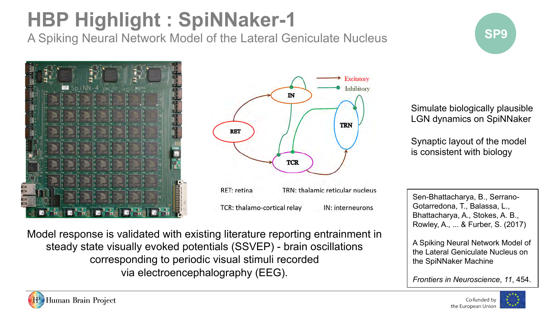# **SPP Highlight : SpiNNaker-1 <br>A Spiking Noural Natwork Model of the Lateral Geniculate Nucleus**

A Spiking Neural Network Model of the Lateral Geniculate Nucleus





TCR: thalamo-cortical relay IN: interneurons Simulate biologically plausible LGN dynamics on SpiNNaker

Synaptic layout of the model is consistent with biology

Sen-Bhattacharya, B., Serrano-Gotarredona, T., Balassa, L., Bhattacharya, A., Stokes, A. B., Rowley, A., ... & Furber, S. (2017)

A Spiking Neural Network Model of the Lateral Geniculate Nucleus on the SpiNNaker Machine

*Frontiers in Neuroscience*, *11*, 454.

Co-funded by the European Union



Model response is validated with existing literature reporting entrainment in steady state visually evoked potentials (SSVEP) - brain oscillations corresponding to periodic visual stimuli recorded via electroencephalography (EEG).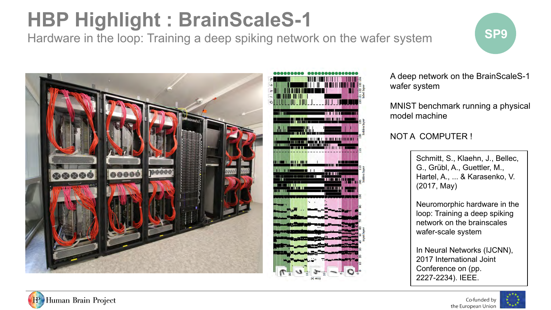# **SPP Highlight : BrainScaleS-1 SP9**

Hardware in the loop: Training a deep spiking network on the wafer system





A deep network on the BrainScaleS-1 wafer system

MNIST benchmark running a physical model machine

#### NOT A COMPUTER !

Schmitt, S., Klaehn, J., Bellec, G., Grübl, A., Guettler, M., Hartel, A., ... & Karasenko, V. (2017, May)

Neuromorphic hardware in the loop: Training a deep spiking network on the brainscales wafer-scale system

In Neural Networks (IJCNN), 2017 International Joint Conference on (pp. 2227-2234). IEEE.



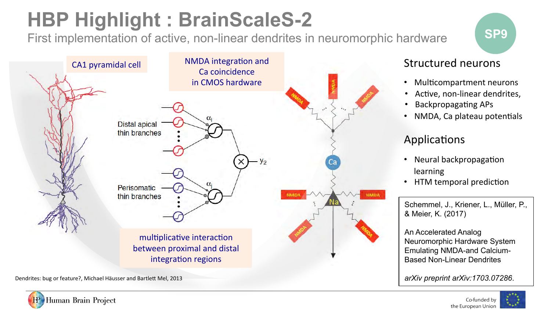# **SPP Highlight : BrainScaleS-2 SP9** SP9

First implementation of active, non-linear dendrites in neuromorphic hardware



#### Structured neurons

- Multicompartment neurons
- Active, non-linear dendrites,
- **Backpropagating APs**
- NMDA, Ca plateau potentials

#### Applications

- Neural backpropagation learning
- HTM temporal prediction

Schemmel, J., Kriener, L., Müller, P., & Meier, K. (2017)

An Accelerated Analog Neuromorphic Hardware System Emulating NMDA-and Calcium-Based Non-Linear Dendrites

*arXiv preprint arXiv:1703.07286*.